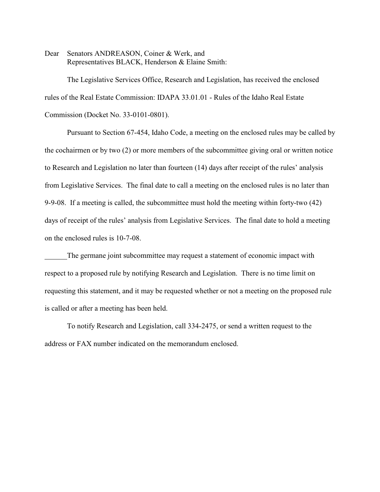Dear Senators ANDREASON, Coiner & Werk, and Representatives BLACK, Henderson & Elaine Smith:

The Legislative Services Office, Research and Legislation, has received the enclosed rules of the Real Estate Commission: IDAPA 33.01.01 - Rules of the Idaho Real Estate Commission (Docket No. 33-0101-0801).

Pursuant to Section 67-454, Idaho Code, a meeting on the enclosed rules may be called by the cochairmen or by two (2) or more members of the subcommittee giving oral or written notice to Research and Legislation no later than fourteen (14) days after receipt of the rules' analysis from Legislative Services. The final date to call a meeting on the enclosed rules is no later than 9-9-08. If a meeting is called, the subcommittee must hold the meeting within forty-two (42) days of receipt of the rules' analysis from Legislative Services. The final date to hold a meeting on the enclosed rules is 10-7-08.

The germane joint subcommittee may request a statement of economic impact with respect to a proposed rule by notifying Research and Legislation. There is no time limit on requesting this statement, and it may be requested whether or not a meeting on the proposed rule is called or after a meeting has been held.

To notify Research and Legislation, call 334-2475, or send a written request to the address or FAX number indicated on the memorandum enclosed.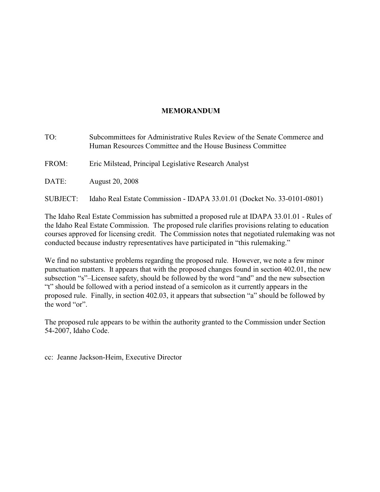## **MEMORANDUM**

| TO:<br>Subcommittees for Administrative Rules Review of the Senate Commerce and<br>Human Resources Committee and the House Business Committee |                                                                         |
|-----------------------------------------------------------------------------------------------------------------------------------------------|-------------------------------------------------------------------------|
| FROM:                                                                                                                                         | Eric Milstead, Principal Legislative Research Analyst                   |
| DATE:                                                                                                                                         | <b>August 20, 2008</b>                                                  |
| <b>SUBJECT:</b>                                                                                                                               | Idaho Real Estate Commission - IDAPA 33.01.01 (Docket No. 33-0101-0801) |

The Idaho Real Estate Commission has submitted a proposed rule at IDAPA 33.01.01 - Rules of the Idaho Real Estate Commission. The proposed rule clarifies provisions relating to education courses approved for licensing credit. The Commission notes that negotiated rulemaking was not conducted because industry representatives have participated in "this rulemaking."

We find no substantive problems regarding the proposed rule. However, we note a few minor punctuation matters. It appears that with the proposed changes found in section 402.01, the new subsection "s"–Licensee safety, should be followed by the word "and" and the new subsection "t" should be followed with a period instead of a semicolon as it currently appears in the proposed rule. Finally, in section 402.03, it appears that subsection "a" should be followed by the word "or".

The proposed rule appears to be within the authority granted to the Commission under Section 54-2007, Idaho Code.

cc: Jeanne Jackson-Heim, Executive Director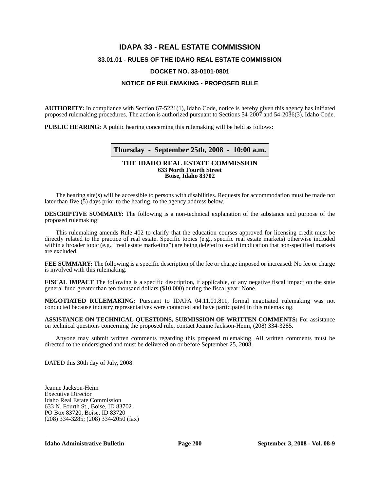# **IDAPA 33 - REAL ESTATE COMMISSION 33.01.01 - RULES OF THE IDAHO REAL ESTATE COMMISSION DOCKET NO. 33-0101-0801**

#### **NOTICE OF RULEMAKING - PROPOSED RULE**

**AUTHORITY:** In compliance with Section 67-5221(1), Idaho Code, notice is hereby given this agency has initiated proposed rulemaking procedures. The action is authorized pursuant to Sections 54-2007 and 54-2036(3), Idaho Code.

**PUBLIC HEARING:** A public hearing concerning this rulemaking will be held as follows:

### **Thursday - September 25th, 2008 - 10:00 a.m.**

#### **THE IDAHO REAL ESTATE COMMISSION 633 North Fourth Street Boise, Idaho 83702**

The hearing site(s) will be accessible to persons with disabilities. Requests for accommodation must be made not later than five (5) days prior to the hearing, to the agency address below.

**DESCRIPTIVE SUMMARY:** The following is a non-technical explanation of the substance and purpose of the proposed rulemaking:

This rulemaking amends Rule 402 to clarify that the education courses approved for licensing credit must be directly related to the practice of real estate. Specific topics (e.g., specific real estate markets) otherwise included within a broader topic (e.g., "real estate marketing") are being deleted to avoid implication that non-specified markets are excluded.

**FEE SUMMARY:** The following is a specific description of the fee or charge imposed or increased: No fee or charge is involved with this rulemaking.

**FISCAL IMPACT** The following is a specific description, if applicable, of any negative fiscal impact on the state general fund greater than ten thousand dollars (\$10,000) during the fiscal year: None.

**NEGOTIATED RULEMAKING:** Pursuant to IDAPA 04.11.01.811, formal negotiated rulemaking was not conducted because industry representatives were contacted and have participated in this rulemaking.

**ASSISTANCE ON TECHNICAL QUESTIONS, SUBMISSION OF WRITTEN COMMENTS:** For assistance on technical questions concerning the proposed rule, contact Jeanne Jackson-Heim, (208) 334-3285.

Anyone may submit written comments regarding this proposed rulemaking. All written comments must be directed to the undersigned and must be delivered on or before September 25, 2008.

DATED this 30th day of July, 2008.

Jeanne Jackson-Heim Executive Director Idaho Real Estate Commission 633 N. Fourth St., Boise, ID 83702 PO Box 83720, Boise, ID 83720 (208) 334-3285; (208) 334-2050 (fax)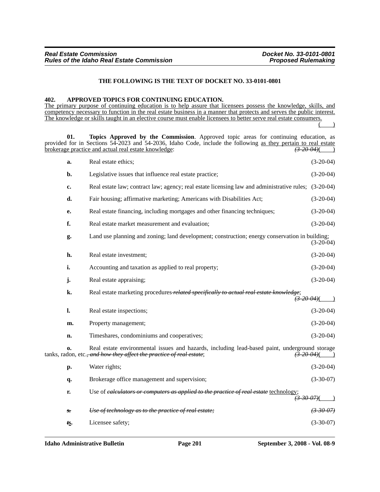#### **THE FOLLOWING IS THE TEXT OF DOCKET NO. 33-0101-0801**

#### **402. APPROVED TOPICS FOR CONTINUING EDUCATION.**

The primary purpose of continuing education is to help assure that licensees possess the knowledge, skills, and competency necessary to function in the real estate business in a manner that protects and serves the public interest. The knowledge or skills taught in an elective course must enable licensees to better serve real estate consumers.  $($   $)$ 

| 01.                    | Topics Approved by the Commission. Approved topic areas for continuing education, as<br>provided for in Sections 54-2023 and 54-2036, Idaho Code, include the following as they pertain to real estate<br>brokerage practice and actual real estate knowledge:<br>$(3-20-04)$ |                                          |
|------------------------|-------------------------------------------------------------------------------------------------------------------------------------------------------------------------------------------------------------------------------------------------------------------------------|------------------------------------------|
| a.                     | Real estate ethics;                                                                                                                                                                                                                                                           | $(3-20-04)$                              |
| b.                     | Legislative issues that influence real estate practice;                                                                                                                                                                                                                       | $(3-20-04)$                              |
| c.                     | Real estate law; contract law; agency; real estate licensing law and administrative rules; (3-20-04)                                                                                                                                                                          |                                          |
| d.                     | Fair housing; affirmative marketing; Americans with Disabilities Act;                                                                                                                                                                                                         | $(3-20-04)$                              |
| e.                     | Real estate financing, including mortgages and other financing techniques;                                                                                                                                                                                                    | $(3-20-04)$                              |
| f.                     | Real estate market measurement and evaluation;                                                                                                                                                                                                                                | $(3-20-04)$                              |
| g.                     | Land use planning and zoning; land development; construction; energy conservation in building;                                                                                                                                                                                | $(3-20-04)$                              |
| h.                     | Real estate investment;                                                                                                                                                                                                                                                       | $(3-20-04)$                              |
| i.                     | Accounting and taxation as applied to real property;                                                                                                                                                                                                                          | $(3-20-04)$                              |
| j.                     | Real estate appraising;                                                                                                                                                                                                                                                       | $(3-20-04)$                              |
| k.                     | Real estate marketing procedures related specifically to actual real estate knowledge;                                                                                                                                                                                        | $\frac{73.20-04}{2}$                     |
| 1.                     | Real estate inspections;                                                                                                                                                                                                                                                      | $(3-20-04)$                              |
| m.                     | Property management;                                                                                                                                                                                                                                                          | $(3-20-04)$                              |
| n.                     | Timeshares, condominiums and cooperatives;                                                                                                                                                                                                                                    | $(3-20-04)$                              |
| 0.                     | Real estate environmental issues and hazards, including lead-based paint, underground storage<br>tanks, radon, etc. <del>, and how they affect the practice of real estate</del> ;                                                                                            | $\left(\frac{3}{2} - 20 - 04\right)$ (1) |
| p.                     | Water rights;                                                                                                                                                                                                                                                                 | $(3-20-04)$                              |
| q.                     | Brokerage office management and supervision;                                                                                                                                                                                                                                  | $(3-30-07)$                              |
| r.                     | Use of ealculators or computers as applied to the practice of real estate technology;<br>$\frac{73.30.07}{(}$                                                                                                                                                                 |                                          |
| $s_{\overline{\cdot}}$ | Use of technology as to the practice of real estate;                                                                                                                                                                                                                          |                                          |
| ts.                    | Licensee safety;                                                                                                                                                                                                                                                              | $(3-30-07)$                              |
|                        |                                                                                                                                                                                                                                                                               |                                          |